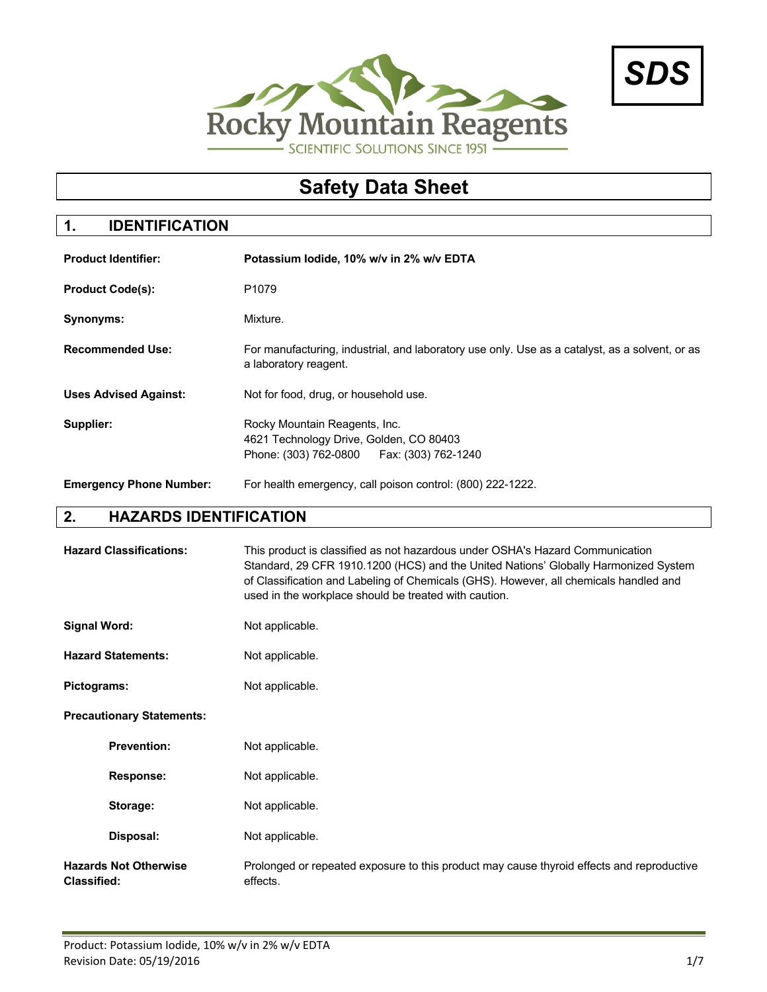



# **Safety Data Sheet**

# **1. IDENTIFICATION**

| <b>Product Identifier:</b>     | Potassium lodide, 10% w/v in 2% w/v EDTA                                                                                 |
|--------------------------------|--------------------------------------------------------------------------------------------------------------------------|
| <b>Product Code(s):</b>        | P <sub>1079</sub>                                                                                                        |
| Synonyms:                      | Mixture.                                                                                                                 |
| <b>Recommended Use:</b>        | For manufacturing, industrial, and laboratory use only. Use as a catalyst, as a solvent, or as<br>a laboratory reagent.  |
| <b>Uses Advised Against:</b>   | Not for food, drug, or household use.                                                                                    |
| Supplier:                      | Rocky Mountain Reagents, Inc.<br>4621 Technology Drive, Golden, CO 80403<br>Phone: (303) 762-0800<br>Fax: (303) 762-1240 |
| <b>Emergency Phone Number:</b> | For health emergency, call poison control: (800) 222-1222.                                                               |

# **2. HAZARDS IDENTIFICATION**

| <b>Hazard Classifications:</b>                     | This product is classified as not hazardous under OSHA's Hazard Communication<br>Standard, 29 CFR 1910.1200 (HCS) and the United Nations' Globally Harmonized System<br>of Classification and Labeling of Chemicals (GHS). However, all chemicals handled and<br>used in the workplace should be treated with caution. |
|----------------------------------------------------|------------------------------------------------------------------------------------------------------------------------------------------------------------------------------------------------------------------------------------------------------------------------------------------------------------------------|
| <b>Signal Word:</b>                                | Not applicable.                                                                                                                                                                                                                                                                                                        |
| <b>Hazard Statements:</b>                          | Not applicable.                                                                                                                                                                                                                                                                                                        |
| Pictograms:                                        | Not applicable.                                                                                                                                                                                                                                                                                                        |
| <b>Precautionary Statements:</b>                   |                                                                                                                                                                                                                                                                                                                        |
| <b>Prevention:</b>                                 | Not applicable.                                                                                                                                                                                                                                                                                                        |
| Response:                                          | Not applicable.                                                                                                                                                                                                                                                                                                        |
| Storage:                                           | Not applicable.                                                                                                                                                                                                                                                                                                        |
| Disposal:                                          | Not applicable.                                                                                                                                                                                                                                                                                                        |
| <b>Hazards Not Otherwise</b><br><b>Classified:</b> | Prolonged or repeated exposure to this product may cause thyroid effects and reproductive<br>effects.                                                                                                                                                                                                                  |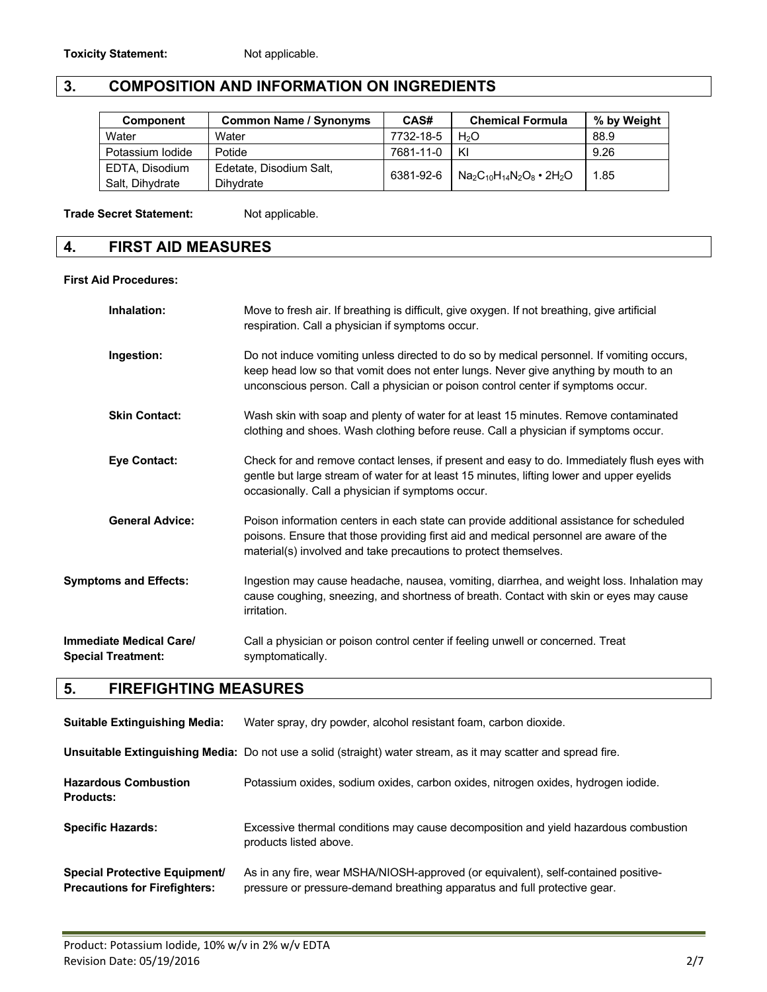# **3. COMPOSITION AND INFORMATION ON INGREDIENTS**

| <b>Component</b> | <b>Common Name / Synonyms</b> | CAS#      | <b>Chemical Formula</b>              | % by Weight |
|------------------|-------------------------------|-----------|--------------------------------------|-------------|
| Water            | Water                         | 7732-18-5 | H <sub>2</sub> O                     | 88.9        |
| Potassium Iodide | Potide                        | 7681-11-0 | KI                                   | 9.26        |
| EDTA, Disodium   | Edetate, Disodium Salt,       | 6381-92-6 |                                      | 1.85        |
| Salt, Dihydrate  | Dihydrate                     |           | $Na_2C_{10}H_{14}N_2O_8 \cdot 2H_2O$ |             |

**Trade Secret Statement:** Not applicable.

## **4. FIRST AID MEASURES**

#### **First Aid Procedures:**

| Inhalation:                                          | Move to fresh air. If breathing is difficult, give oxygen. If not breathing, give artificial<br>respiration. Call a physician if symptoms occur.                                                                                                                      |
|------------------------------------------------------|-----------------------------------------------------------------------------------------------------------------------------------------------------------------------------------------------------------------------------------------------------------------------|
| Ingestion:                                           | Do not induce vomiting unless directed to do so by medical personnel. If vomiting occurs,<br>keep head low so that vomit does not enter lungs. Never give anything by mouth to an<br>unconscious person. Call a physician or poison control center if symptoms occur. |
| <b>Skin Contact:</b>                                 | Wash skin with soap and plenty of water for at least 15 minutes. Remove contaminated<br>clothing and shoes. Wash clothing before reuse. Call a physician if symptoms occur.                                                                                           |
| <b>Eye Contact:</b>                                  | Check for and remove contact lenses, if present and easy to do. Immediately flush eyes with<br>gentle but large stream of water for at least 15 minutes, lifting lower and upper eyelids<br>occasionally. Call a physician if symptoms occur.                         |
| <b>General Advice:</b>                               | Poison information centers in each state can provide additional assistance for scheduled<br>poisons. Ensure that those providing first aid and medical personnel are aware of the<br>material(s) involved and take precautions to protect themselves.                 |
| <b>Symptoms and Effects:</b>                         | Ingestion may cause headache, nausea, vomiting, diarrhea, and weight loss. Inhalation may<br>cause coughing, sneezing, and shortness of breath. Contact with skin or eyes may cause<br>irritation.                                                                    |
| Immediate Medical Care/<br><b>Special Treatment:</b> | Call a physician or poison control center if feeling unwell or concerned. Treat<br>symptomatically.                                                                                                                                                                   |

# **5. FIREFIGHTING MEASURES**

| <b>Suitable Extinguishing Media:</b>                                         | Water spray, dry powder, alcohol resistant foam, carbon dioxide.                                                                                                |
|------------------------------------------------------------------------------|-----------------------------------------------------------------------------------------------------------------------------------------------------------------|
|                                                                              | Unsuitable Extinguishing Media: Do not use a solid (straight) water stream, as it may scatter and spread fire.                                                  |
| <b>Hazardous Combustion</b><br><b>Products:</b>                              | Potassium oxides, sodium oxides, carbon oxides, nitrogen oxides, hydrogen iodide.                                                                               |
| <b>Specific Hazards:</b>                                                     | Excessive thermal conditions may cause decomposition and yield hazardous combustion<br>products listed above.                                                   |
| <b>Special Protective Equipment/</b><br><b>Precautions for Firefighters:</b> | As in any fire, wear MSHA/NIOSH-approved (or equivalent), self-contained positive-<br>pressure or pressure-demand breathing apparatus and full protective gear. |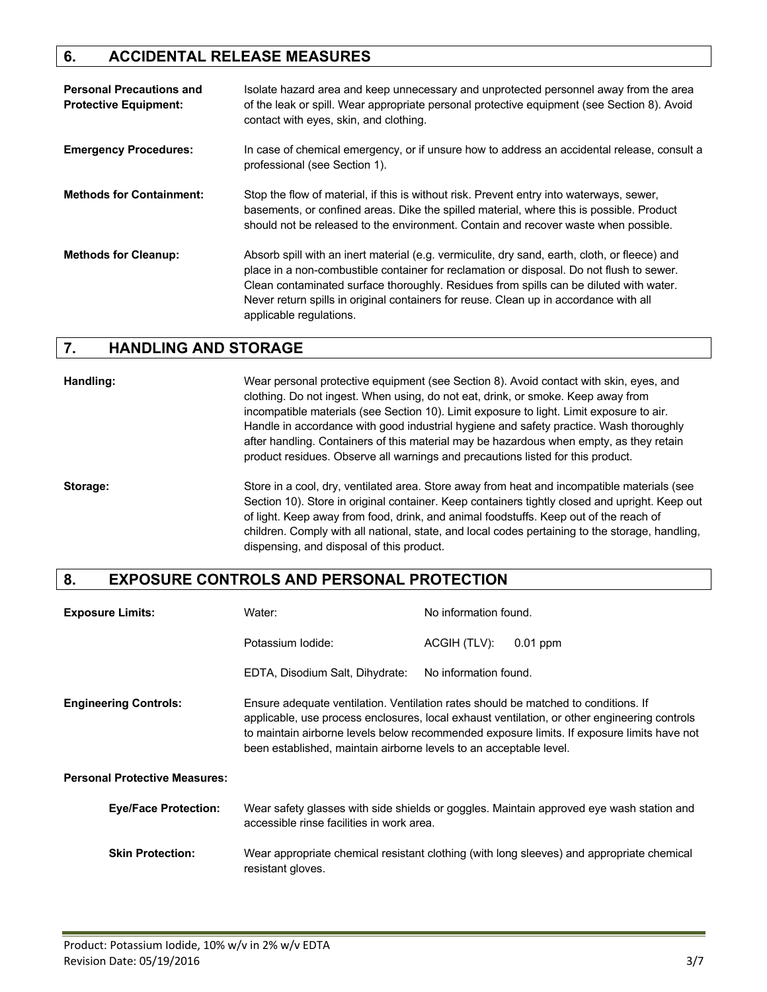### **6. ACCIDENTAL RELEASE MEASURES**

| <b>Personal Precautions and</b><br><b>Protective Equipment:</b> | Isolate hazard area and keep unnecessary and unprotected personnel away from the area<br>of the leak or spill. Wear appropriate personal protective equipment (see Section 8). Avoid<br>contact with eyes, skin, and clothing.                                                                                                                                                                          |
|-----------------------------------------------------------------|---------------------------------------------------------------------------------------------------------------------------------------------------------------------------------------------------------------------------------------------------------------------------------------------------------------------------------------------------------------------------------------------------------|
| <b>Emergency Procedures:</b>                                    | In case of chemical emergency, or if unsure how to address an accidental release, consult a<br>professional (see Section 1).                                                                                                                                                                                                                                                                            |
| <b>Methods for Containment:</b>                                 | Stop the flow of material, if this is without risk. Prevent entry into waterways, sewer,<br>basements, or confined areas. Dike the spilled material, where this is possible. Product<br>should not be released to the environment. Contain and recover waste when possible.                                                                                                                             |
| <b>Methods for Cleanup:</b>                                     | Absorb spill with an inert material (e.g. vermiculite, dry sand, earth, cloth, or fleece) and<br>place in a non-combustible container for reclamation or disposal. Do not flush to sewer.<br>Clean contaminated surface thoroughly. Residues from spills can be diluted with water.<br>Never return spills in original containers for reuse. Clean up in accordance with all<br>applicable regulations. |

#### **7. HANDLING AND STORAGE**

**Handling:** Wear personal protective equipment (see Section 8). Avoid contact with skin, eyes, and clothing. Do not ingest. When using, do not eat, drink, or smoke. Keep away from incompatible materials (see Section 10). Limit exposure to light. Limit exposure to air. Handle in accordance with good industrial hygiene and safety practice. Wash thoroughly after handling. Containers of this material may be hazardous when empty, as they retain product residues. Observe all warnings and precautions listed for this product.

**Storage:** Store in a cool, dry, ventilated area. Store away from heat and incompatible materials (see Section 10). Store in original container. Keep containers tightly closed and upright. Keep out of light. Keep away from food, drink, and animal foodstuffs. Keep out of the reach of children. Comply with all national, state, and local codes pertaining to the storage, handling, dispensing, and disposal of this product.

#### **8. EXPOSURE CONTROLS AND PERSONAL PROTECTION**

| <b>Exposure Limits:</b>              | Water:                                                                                                                                                   | No information found. |                                                                                                                                                                                            |
|--------------------------------------|----------------------------------------------------------------------------------------------------------------------------------------------------------|-----------------------|--------------------------------------------------------------------------------------------------------------------------------------------------------------------------------------------|
|                                      | Potassium lodide:                                                                                                                                        | ACGIH (TLV):          | $0.01$ ppm                                                                                                                                                                                 |
|                                      | EDTA, Disodium Salt, Dihydrate:                                                                                                                          | No information found. |                                                                                                                                                                                            |
| <b>Engineering Controls:</b>         | Ensure adequate ventilation. Ventilation rates should be matched to conditions. If<br>been established, maintain airborne levels to an acceptable level. |                       | applicable, use process enclosures, local exhaust ventilation, or other engineering controls<br>to maintain airborne levels below recommended exposure limits. If exposure limits have not |
| <b>Personal Protective Measures:</b> |                                                                                                                                                          |                       |                                                                                                                                                                                            |
| <b>Eye/Face Protection:</b>          | accessible rinse facilities in work area.                                                                                                                |                       | Wear safety glasses with side shields or goggles. Maintain approved eye wash station and                                                                                                   |
| <b>Skin Protection:</b>              | resistant gloves.                                                                                                                                        |                       | Wear appropriate chemical resistant clothing (with long sleeves) and appropriate chemical                                                                                                  |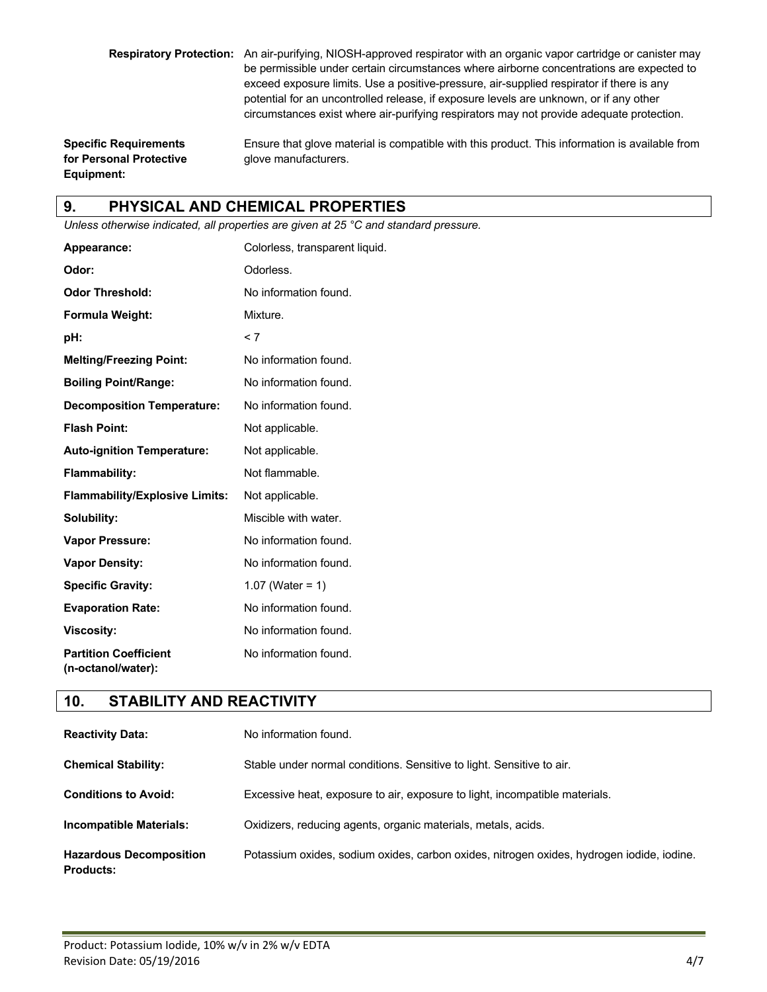**Respiratory Protection:** An air-purifying, NIOSH-approved respirator with an organic vapor cartridge or canister may be permissible under certain circumstances where airborne concentrations are expected to exceed exposure limits. Use a positive-pressure, air-supplied respirator if there is any potential for an uncontrolled release, if exposure levels are unknown, or if any other circumstances exist where air-purifying respirators may not provide adequate protection.

**for Personal Protective glove manufacturers. Equipment:**

**Specific Requirements** Ensure that glove material is compatible with this product. This information is available from

# **9. PHYSICAL AND CHEMICAL PROPERTIES**

*Unless otherwise indicated, all properties are given at 25 °C and standard pressure.*

| Appearance:                                        | Colorless, transparent liquid. |
|----------------------------------------------------|--------------------------------|
| Odor:                                              | Odorless.                      |
| <b>Odor Threshold:</b>                             | No information found.          |
| Formula Weight:                                    | Mixture.                       |
| pH:                                                | < 7                            |
| <b>Melting/Freezing Point:</b>                     | No information found.          |
| <b>Boiling Point/Range:</b>                        | No information found.          |
| <b>Decomposition Temperature:</b>                  | No information found.          |
| <b>Flash Point:</b>                                | Not applicable.                |
| <b>Auto-ignition Temperature:</b>                  | Not applicable.                |
| <b>Flammability:</b>                               | Not flammable.                 |
| <b>Flammability/Explosive Limits:</b>              | Not applicable.                |
| Solubility:                                        | Miscible with water.           |
| <b>Vapor Pressure:</b>                             | No information found.          |
| <b>Vapor Density:</b>                              | No information found.          |
| <b>Specific Gravity:</b>                           | 1.07 (Water = $1$ )            |
| <b>Evaporation Rate:</b>                           | No information found.          |
| <b>Viscosity:</b>                                  | No information found.          |
| <b>Partition Coefficient</b><br>(n-octanol/water): | No information found.          |

#### **10. STABILITY AND REACTIVITY**

| <b>Reactivity Data:</b>                            | No information found.                                                                     |
|----------------------------------------------------|-------------------------------------------------------------------------------------------|
| <b>Chemical Stability:</b>                         | Stable under normal conditions. Sensitive to light. Sensitive to air.                     |
| <b>Conditions to Avoid:</b>                        | Excessive heat, exposure to air, exposure to light, incompatible materials.               |
| <b>Incompatible Materials:</b>                     | Oxidizers, reducing agents, organic materials, metals, acids.                             |
| <b>Hazardous Decomposition</b><br><b>Products:</b> | Potassium oxides, sodium oxides, carbon oxides, nitrogen oxides, hydrogen iodide, iodine. |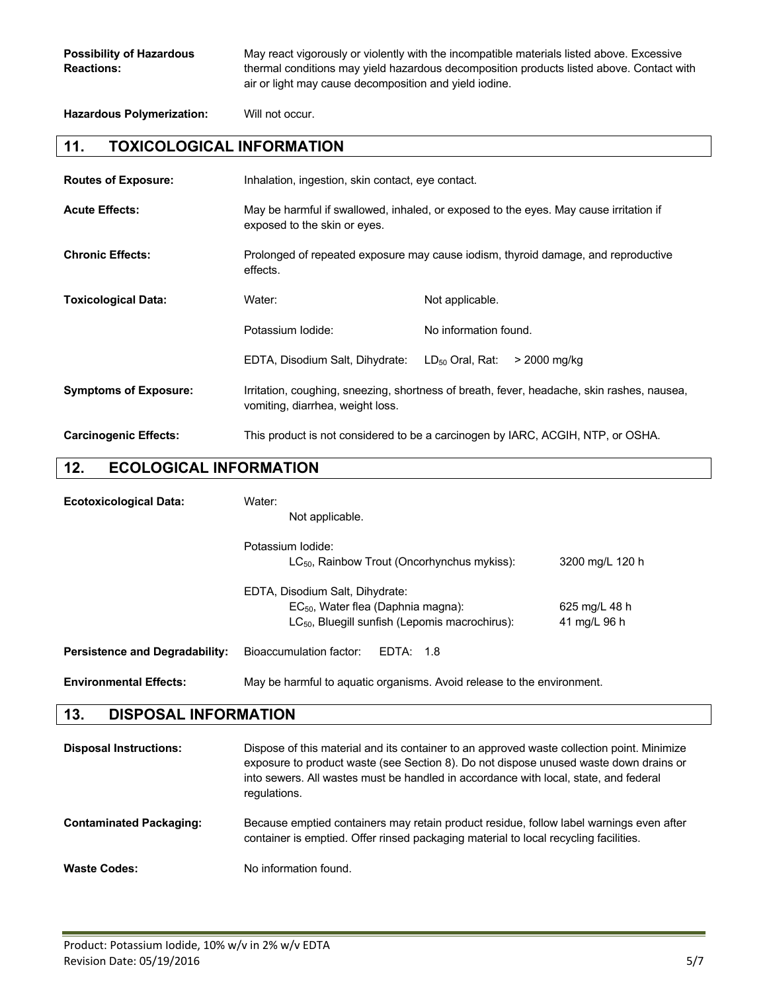**Possibility of Hazardous** May react vigorously or violently with the incompatible materials listed above. Excessive **Reactions:** thermal conditions may yield hazardous decomposition products listed above. Contact with air or light may cause decomposition and yield iodine.

**Hazardous Polymerization:** Will not occur.

#### **11. TOXICOLOGICAL INFORMATION**

| <b>Routes of Exposure:</b>   | Inhalation, ingestion, skin contact, eye contact.                                                                              |                                      |
|------------------------------|--------------------------------------------------------------------------------------------------------------------------------|--------------------------------------|
| <b>Acute Effects:</b>        | May be harmful if swallowed, inhaled, or exposed to the eyes. May cause irritation if<br>exposed to the skin or eyes.          |                                      |
| <b>Chronic Effects:</b>      | Prolonged of repeated exposure may cause iodism, thyroid damage, and reproductive<br>effects.                                  |                                      |
| <b>Toxicological Data:</b>   | Water:                                                                                                                         | Not applicable.                      |
|                              | Potassium Iodide:                                                                                                              | No information found.                |
|                              | EDTA, Disodium Salt, Dihydrate:                                                                                                | $LD_{50}$ Oral, Rat:<br>> 2000 mg/kg |
| <b>Symptoms of Exposure:</b> | Irritation, coughing, sneezing, shortness of breath, fever, headache, skin rashes, nausea,<br>vomiting, diarrhea, weight loss. |                                      |
| <b>Carcinogenic Effects:</b> | This product is not considered to be a carcinogen by IARC, ACGIH, NTP, or OSHA.                                                |                                      |

#### **12. ECOLOGICAL INFORMATION**

| <b>Ecotoxicological Data:</b>         | Water:<br>Not applicable.                                                                                                         |                               |
|---------------------------------------|-----------------------------------------------------------------------------------------------------------------------------------|-------------------------------|
|                                       | Potassium lodide:<br>LC <sub>50</sub> , Rainbow Trout (Oncorhynchus mykiss):                                                      | 3200 mg/L 120 h               |
|                                       | EDTA, Disodium Salt, Dihydrate:<br>$EC_{50}$ , Water flea (Daphnia magna):<br>$LC_{50}$ , Bluegill sunfish (Lepomis macrochirus): | 625 mg/L 48 h<br>41 mg/L 96 h |
| <b>Persistence and Degradability:</b> | Bioaccumulation factor:<br>EDTA: 1.8                                                                                              |                               |
| <b>Environmental Effects:</b>         | May be harmful to aguatic organisms. Avoid release to the environment.                                                            |                               |

# **13. DISPOSAL INFORMATION**

| <b>Disposal Instructions:</b>  | Dispose of this material and its container to an approved waste collection point. Minimize<br>exposure to product waste (see Section 8). Do not dispose unused waste down drains or<br>into sewers. All wastes must be handled in accordance with local, state, and federal<br>regulations. |
|--------------------------------|---------------------------------------------------------------------------------------------------------------------------------------------------------------------------------------------------------------------------------------------------------------------------------------------|
| <b>Contaminated Packaging:</b> | Because emptied containers may retain product residue, follow label warnings even after<br>container is emptied. Offer rinsed packaging material to local recycling facilities.                                                                                                             |
| <b>Waste Codes:</b>            | No information found.                                                                                                                                                                                                                                                                       |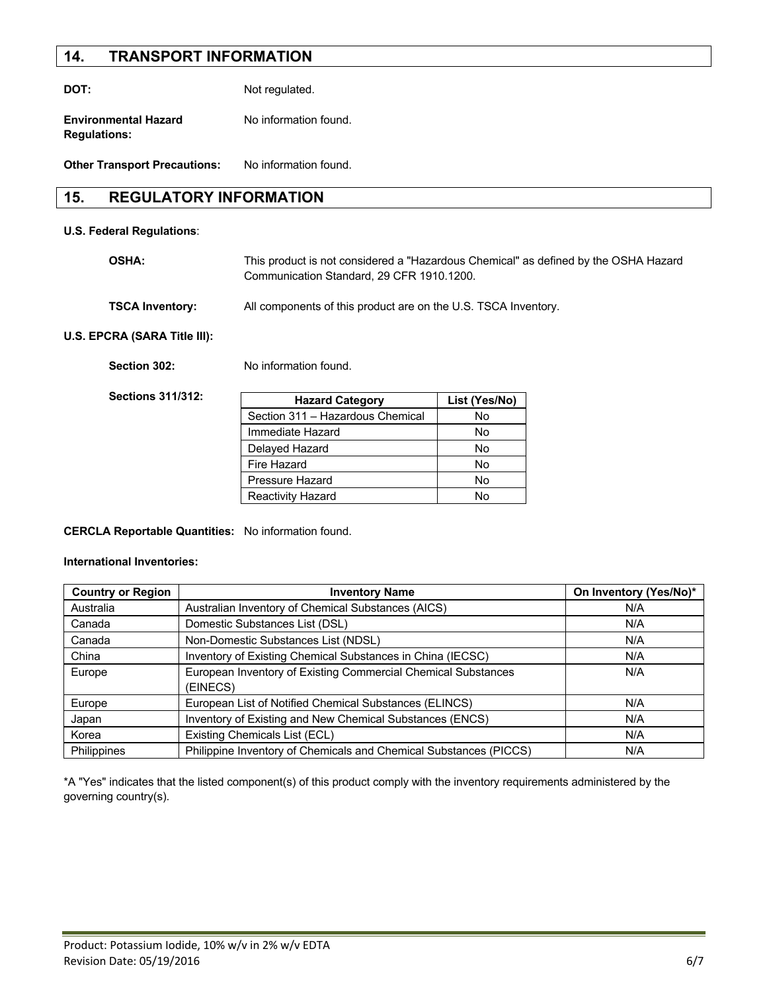#### **14. TRANSPORT INFORMATION**

**DOT:** Not regulated. **Environmental Hazard** No information found.

**Other Transport Precautions:** No information found.

#### **15. REGULATORY INFORMATION**

#### **U.S. Federal Regulations**:

**Regulations:**

| OSHA: | This product is not considered a "Hazardous Chemical" as defined by the OSHA Hazard |
|-------|-------------------------------------------------------------------------------------|
|       | Communication Standard, 29 CFR 1910, 1200.                                          |
|       |                                                                                     |

| <b>TSCA Inventory:</b> | All components of this product are on the U.S. TSCA Inventory. |  |
|------------------------|----------------------------------------------------------------|--|
|------------------------|----------------------------------------------------------------|--|

#### **U.S. EPCRA (SARA Title III):**

Section 302: No information found.

**Sections 311/312:**

| <b>Hazard Category</b>           | List (Yes/No) |
|----------------------------------|---------------|
| Section 311 - Hazardous Chemical | No            |
| Immediate Hazard                 | No            |
| Delayed Hazard                   | No            |
| Fire Hazard                      | N٥            |
| Pressure Hazard                  | N٥            |
| <b>Reactivity Hazard</b>         | N٥            |

#### **CERCLA Reportable Quantities:** No information found.

#### **International Inventories:**

| <b>Country or Region</b> | <b>Inventory Name</b>                                                     | On Inventory (Yes/No)* |
|--------------------------|---------------------------------------------------------------------------|------------------------|
| Australia                | Australian Inventory of Chemical Substances (AICS)                        | N/A                    |
| Canada                   | Domestic Substances List (DSL)                                            | N/A                    |
| Canada                   | Non-Domestic Substances List (NDSL)                                       | N/A                    |
| China                    | Inventory of Existing Chemical Substances in China (IECSC)                | N/A                    |
| Europe                   | European Inventory of Existing Commercial Chemical Substances<br>(EINECS) | N/A                    |
| Europe                   | European List of Notified Chemical Substances (ELINCS)                    | N/A                    |
| Japan                    | Inventory of Existing and New Chemical Substances (ENCS)                  | N/A                    |
| Korea                    | Existing Chemicals List (ECL)                                             | N/A                    |
| Philippines              | Philippine Inventory of Chemicals and Chemical Substances (PICCS)         | N/A                    |

\*A "Yes" indicates that the listed component(s) of this product comply with the inventory requirements administered by the governing country(s).